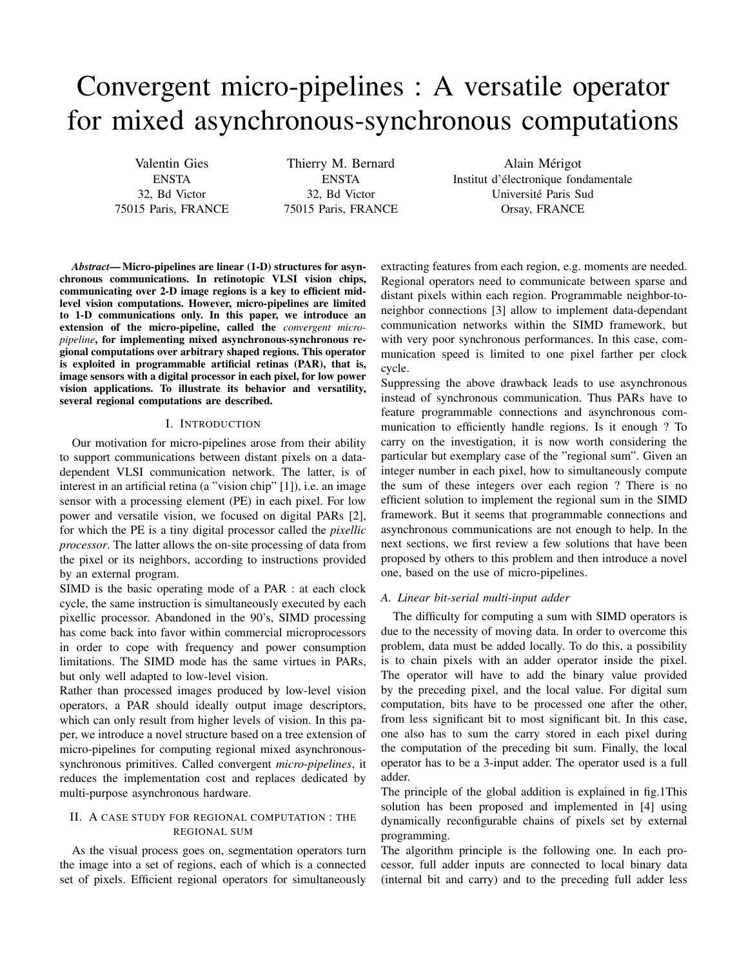# Convergent micro-pipelines : A versatile operator for mixed asynchronous-synchronous computations

Valentin Gies ENSTA 32, Bd Victor 75015 Paris, FRANCE

Thierry M. Bernard ENSTA 32, Bd Victor 75015 Paris, FRANCE

Alain Mérigot Institut d'électronique fondamentale Université Paris Sud Orsay, FRANCE

*Abstract***—Micro-pipelines are linear (1-D) structures for asynchronous communications. In retinotopic VLSI vision chips, communicating over 2-D image regions is a key to efficient midlevel vision computations. However, micro-pipelines are limited to 1-D communications only. In this paper, we introduce an extension of the micro-pipeline, called the** *convergent micropipeline***, for implementing mixed asynchronous-synchronous regional computations over arbitrary shaped regions. This operator is exploited in programmable artificial retinas (PAR), that is, image sensors with a digital processor in each pixel, for low power vision applications. To illustrate its behavior and versatility, several regional computations are described.**

#### I. INTRODUCTION

Our motivation for micro-pipelines arose from their ability to support communications between distant pixels on a datadependent VLSI communication network. The latter, is of interest in an artificial retina (a "vision chip" [1]), i.e. an image sensor with a processing element (PE) in each pixel. For low power and versatile vision, we focused on digital PARs [2], for which the PE is a tiny digital processor called the *pixellic processor*. The latter allows the on-site processing of data from the pixel or its neighbors, according to instructions provided by an external program.

SIMD is the basic operating mode of a PAR : at each clock cycle, the same instruction is simultaneously executed by each pixellic processor. Abandoned in the 90's, SIMD processing has come back into favor within commercial microprocessors in order to cope with frequency and power consumption limitations. The SIMD mode has the same virtues in PARs, but only well adapted to low-level vision.

Rather than processed images produced by low-level vision operators, a PAR should ideally output image descriptors, which can only result from higher levels of vision. In this paper, we introduce a novel structure based on a tree extension of micro-pipelines for computing regional mixed asynchronoussynchronous primitives. Called convergent *micro-pipelines*, it reduces the implementation cost and replaces dedicated by multi-purpose asynchronous hardware.

# II. A CASE STUDY FOR REGIONAL COMPUTATION : THE REGIONAL SUM

As the visual process goes on, segmentation operators turn the image into a set of regions, each of which is a connected set of pixels. Efficient regional operators for simultaneously extracting features from each region, e.g. moments are needed. Regional operators need to communicate between sparse and distant pixels within each region. Programmable neighbor-toneighbor connections [3] allow to implement data-dependant communication networks within the SIMD framework, but with very poor synchronous performances. In this case, communication speed is limited to one pixel farther per clock cycle.

Suppressing the above drawback leads to use asynchronous instead of synchronous communication. Thus PARs have to feature programmable connections and asynchronous communication to efficiently handle regions. Is it enough ? To carry on the investigation, it is now worth considering the particular but exemplary case of the "regional sum". Given an integer number in each pixel, how to simultaneously compute the sum of these integers over each region ? There is no efficient solution to implement the regional sum in the SIMD framework. But it seems that programmable connections and asynchronous communications are not enough to help. In the next sections, we first review a few solutions that have been proposed by others to this problem and then introduce a novel one, based on the use of micro-pipelines.

# *A. Linear bit-serial multi-input adder*

The difficulty for computing a sum with SIMD operators is due to the necessity of moving data. In order to overcome this problem, data must be added locally. To do this, a possibility is to chain pixels with an adder operator inside the pixel. The operator will have to add the binary value provided by the preceding pixel, and the local value. For digital sum computation, bits have to be processed one after the other, from less significant bit to most significant bit. In this case, one also has to sum the carry stored in each pixel during the computation of the preceding bit sum. Finally, the local operator has to be a 3-input adder. The operator used is a full adder.

The principle of the global addition is explained in fig.1This solution has been proposed and implemented in [4] using dynamically reconfigurable chains of pixels set by external programming.

The algorithm principle is the following one. In each processor, full adder inputs are connected to local binary data (internal bit and carry) and to the preceding full adder less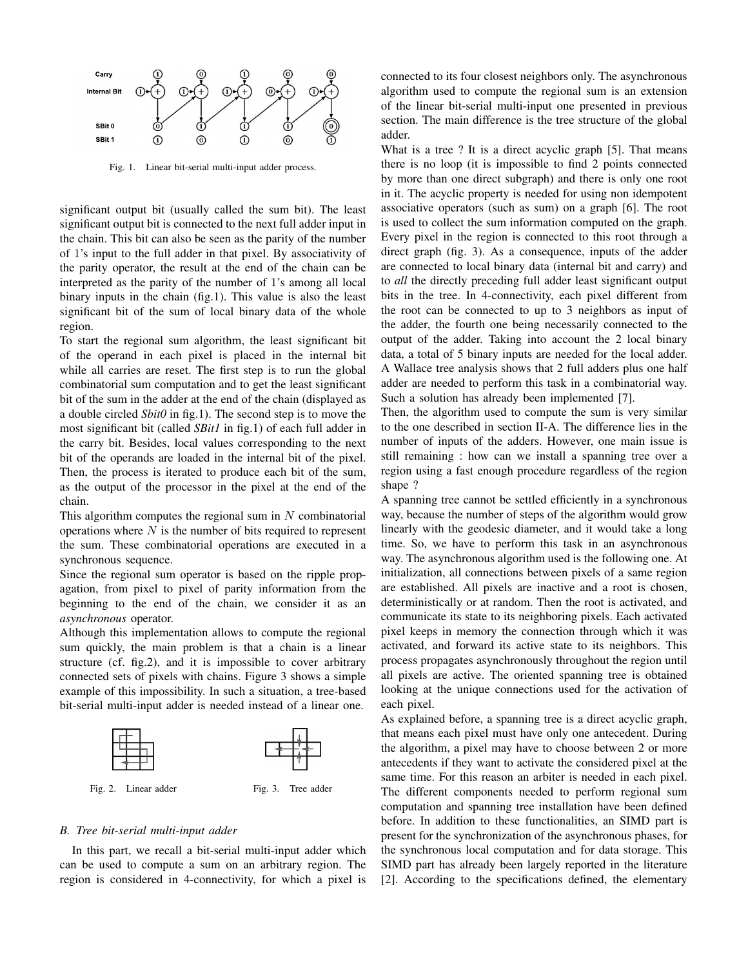

Fig. 1. Linear bit-serial multi-input adder process.

significant output bit (usually called the sum bit). The least significant output bit is connected to the next full adder input in the chain. This bit can also be seen as the parity of the number of 1's input to the full adder in that pixel. By associativity of the parity operator, the result at the end of the chain can be interpreted as the parity of the number of 1's among all local binary inputs in the chain (fig.1). This value is also the least significant bit of the sum of local binary data of the whole region.

To start the regional sum algorithm, the least significant bit of the operand in each pixel is placed in the internal bit while all carries are reset. The first step is to run the global combinatorial sum computation and to get the least significant bit of the sum in the adder at the end of the chain (displayed as a double circled *Sbit0* in fig.1). The second step is to move the most significant bit (called *SBit1* in fig.1) of each full adder in the carry bit. Besides, local values corresponding to the next bit of the operands are loaded in the internal bit of the pixel. Then, the process is iterated to produce each bit of the sum, as the output of the processor in the pixel at the end of the chain.

This algorithm computes the regional sum in  $N$  combinatorial operations where  $N$  is the number of bits required to represent the sum. These combinatorial operations are executed in a synchronous sequence.

Since the regional sum operator is based on the ripple propagation, from pixel to pixel of parity information from the beginning to the end of the chain, we consider it as an *asynchronous* operator.

Although this implementation allows to compute the regional sum quickly, the main problem is that a chain is a linear structure (cf. fig.2), and it is impossible to cover arbitrary connected sets of pixels with chains. Figure 3 shows a simple example of this impossibility. In such a situation, a tree-based bit-serial multi-input adder is needed instead of a linear one.



#### *B. Tree bit-serial multi-input adder*

In this part, we recall a bit-serial multi-input adder which can be used to compute a sum on an arbitrary region. The region is considered in 4-connectivity, for which a pixel is connected to its four closest neighbors only. The asynchronous algorithm used to compute the regional sum is an extension of the linear bit-serial multi-input one presented in previous section. The main difference is the tree structure of the global adder.

What is a tree ? It is a direct acyclic graph [5]. That means there is no loop (it is impossible to find 2 points connected by more than one direct subgraph) and there is only one root in it. The acyclic property is needed for using non idempotent associative operators (such as sum) on a graph [6]. The root is used to collect the sum information computed on the graph. Every pixel in the region is connected to this root through a direct graph (fig. 3). As a consequence, inputs of the adder are connected to local binary data (internal bit and carry) and to *all* the directly preceding full adder least significant output bits in the tree. In 4-connectivity, each pixel different from the root can be connected to up to 3 neighbors as input of the adder, the fourth one being necessarily connected to the output of the adder. Taking into account the 2 local binary data, a total of 5 binary inputs are needed for the local adder. A Wallace tree analysis shows that 2 full adders plus one half adder are needed to perform this task in a combinatorial way. Such a solution has already been implemented [7].

Then, the algorithm used to compute the sum is very similar to the one described in section II-A. The difference lies in the number of inputs of the adders. However, one main issue is still remaining : how can we install a spanning tree over a region using a fast enough procedure regardless of the region shape ?

A spanning tree cannot be settled efficiently in a synchronous way, because the number of steps of the algorithm would grow linearly with the geodesic diameter, and it would take a long time. So, we have to perform this task in an asynchronous way. The asynchronous algorithm used is the following one. At initialization, all connections between pixels of a same region are established. All pixels are inactive and a root is chosen, deterministically or at random. Then the root is activated, and communicate its state to its neighboring pixels. Each activated pixel keeps in memory the connection through which it was activated, and forward its active state to its neighbors. This process propagates asynchronously throughout the region until all pixels are active. The oriented spanning tree is obtained looking at the unique connections used for the activation of each pixel.

As explained before, a spanning tree is a direct acyclic graph, that means each pixel must have only one antecedent. During the algorithm, a pixel may have to choose between 2 or more antecedents if they want to activate the considered pixel at the same time. For this reason an arbiter is needed in each pixel. The different components needed to perform regional sum computation and spanning tree installation have been defined before. In addition to these functionalities, an SIMD part is present for the synchronization of the asynchronous phases, for the synchronous local computation and for data storage. This SIMD part has already been largely reported in the literature [2]. According to the specifications defined, the elementary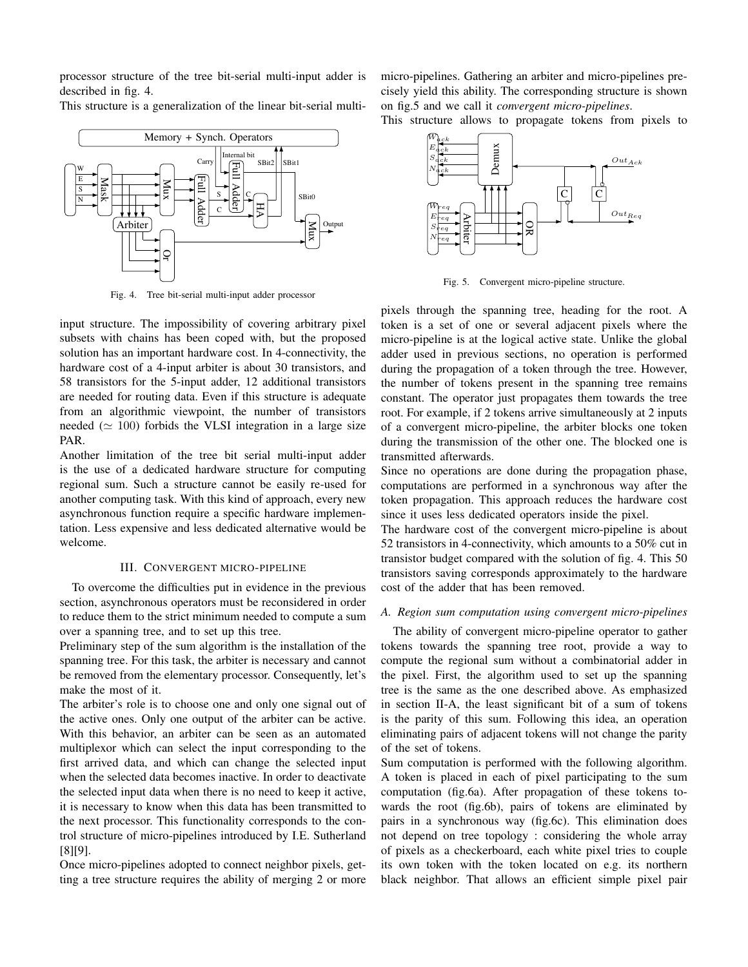processor structure of the tree bit-serial multi-input adder is described in fig. 4.

This structure is a generalization of the linear bit-serial multi-



Fig. 4. Tree bit-serial multi-input adder processor

input structure. The impossibility of covering arbitrary pixel subsets with chains has been coped with, but the proposed solution has an important hardware cost. In 4-connectivity, the hardware cost of a 4-input arbiter is about 30 transistors, and 58 transistors for the 5-input adder, 12 additional transistors are needed for routing data. Even if this structure is adequate from an algorithmic viewpoint, the number of transistors needed ( $\simeq$  100) forbids the VLSI integration in a large size PAR.

Another limitation of the tree bit serial multi-input adder is the use of a dedicated hardware structure for computing regional sum. Such a structure cannot be easily re-used for another computing task. With this kind of approach, every new asynchronous function require a specific hardware implementation. Less expensive and less dedicated alternative would be welcome.

# III. CONVERGENT MICRO-PIPELINE

To overcome the difficulties put in evidence in the previous section, asynchronous operators must be reconsidered in order to reduce them to the strict minimum needed to compute a sum over a spanning tree, and to set up this tree.

Preliminary step of the sum algorithm is the installation of the spanning tree. For this task, the arbiter is necessary and cannot be removed from the elementary processor. Consequently, let's make the most of it.

The arbiter's role is to choose one and only one signal out of the active ones. Only one output of the arbiter can be active. With this behavior, an arbiter can be seen as an automated multiplexor which can select the input corresponding to the first arrived data, and which can change the selected input when the selected data becomes inactive. In order to deactivate the selected input data when there is no need to keep it active, it is necessary to know when this data has been transmitted to the next processor. This functionality corresponds to the control structure of micro-pipelines introduced by I.E. Sutherland [8][9].

Once micro-pipelines adopted to connect neighbor pixels, getting a tree structure requires the ability of merging 2 or more micro-pipelines. Gathering an arbiter and micro-pipelines precisely yield this ability. The corresponding structure is shown on fig.5 and we call it *convergent micro-pipelines*.

This structure allows to propagate tokens from pixels to



Fig. 5. Convergent micro-pipeline structure.

pixels through the spanning tree, heading for the root. A token is a set of one or several adjacent pixels where the micro-pipeline is at the logical active state. Unlike the global adder used in previous sections, no operation is performed during the propagation of a token through the tree. However, the number of tokens present in the spanning tree remains constant. The operator just propagates them towards the tree root. For example, if 2 tokens arrive simultaneously at 2 inputs of a convergent micro-pipeline, the arbiter blocks one token during the transmission of the other one. The blocked one is transmitted afterwards.

Since no operations are done during the propagation phase, computations are performed in a synchronous way after the token propagation. This approach reduces the hardware cost since it uses less dedicated operators inside the pixel.

The hardware cost of the convergent micro-pipeline is about 52 transistors in 4-connectivity, which amounts to a 50% cut in transistor budget compared with the solution of fig. 4. This 50 transistors saving corresponds approximately to the hardware cost of the adder that has been removed.

# *A. Region sum computation using convergent micro-pipelines*

The ability of convergent micro-pipeline operator to gather tokens towards the spanning tree root, provide a way to compute the regional sum without a combinatorial adder in the pixel. First, the algorithm used to set up the spanning tree is the same as the one described above. As emphasized in section II-A, the least significant bit of a sum of tokens is the parity of this sum. Following this idea, an operation eliminating pairs of adjacent tokens will not change the parity of the set of tokens.

Sum computation is performed with the following algorithm. A token is placed in each of pixel participating to the sum computation (fig.6a). After propagation of these tokens towards the root (fig.6b), pairs of tokens are eliminated by pairs in a synchronous way (fig.6c). This elimination does not depend on tree topology : considering the whole array of pixels as a checkerboard, each white pixel tries to couple its own token with the token located on e.g. its northern black neighbor. That allows an efficient simple pixel pair